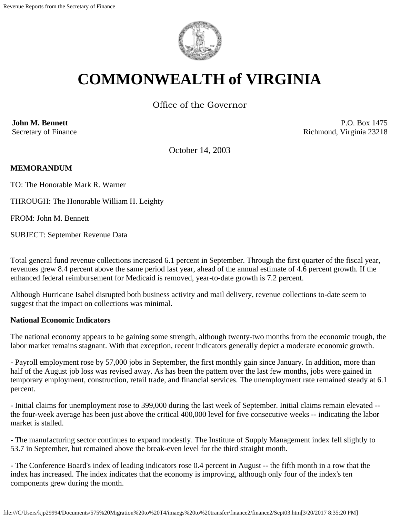

# **COMMONWEALTH of VIRGINIA**

Office of the Governor

**John M. Bennett** Secretary of Finance

P.O. Box 1475 Richmond, Virginia 23218

October 14, 2003

# **MEMORANDUM**

TO: The Honorable Mark R. Warner

THROUGH: The Honorable William H. Leighty

FROM: John M. Bennett

SUBJECT: September Revenue Data

Total general fund revenue collections increased 6.1 percent in September. Through the first quarter of the fiscal year, revenues grew 8.4 percent above the same period last year, ahead of the annual estimate of 4.6 percent growth. If the enhanced federal reimbursement for Medicaid is removed, year-to-date growth is 7.2 percent.

Although Hurricane Isabel disrupted both business activity and mail delivery, revenue collections to-date seem to suggest that the impact on collections was minimal.

#### **National Economic Indicators**

The national economy appears to be gaining some strength, although twenty-two months from the economic trough, the labor market remains stagnant. With that exception, recent indicators generally depict a moderate economic growth.

- Payroll employment rose by 57,000 jobs in September, the first monthly gain since January. In addition, more than half of the August job loss was revised away. As has been the pattern over the last few months, jobs were gained in temporary employment, construction, retail trade, and financial services. The unemployment rate remained steady at 6.1 percent.

- Initial claims for unemployment rose to 399,000 during the last week of September. Initial claims remain elevated - the four-week average has been just above the critical 400,000 level for five consecutive weeks -- indicating the labor market is stalled.

- The manufacturing sector continues to expand modestly. The Institute of Supply Management index fell slightly to 53.7 in September, but remained above the break-even level for the third straight month.

- The Conference Board's index of leading indicators rose 0.4 percent in August -- the fifth month in a row that the index has increased. The index indicates that the economy is improving, although only four of the index's ten components grew during the month.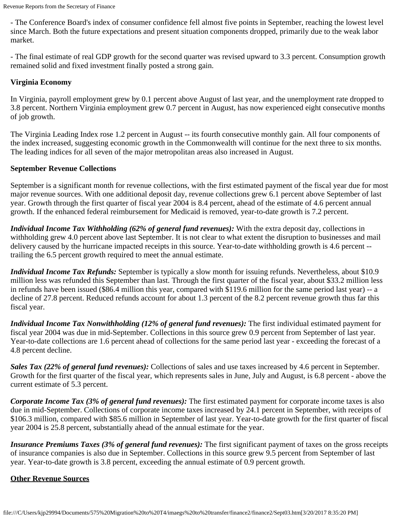- The Conference Board's index of consumer confidence fell almost five points in September, reaching the lowest level since March. Both the future expectations and present situation components dropped, primarily due to the weak labor market.

- The final estimate of real GDP growth for the second quarter was revised upward to 3.3 percent. Consumption growth remained solid and fixed investment finally posted a strong gain.

# **Virginia Economy**

In Virginia, payroll employment grew by 0.1 percent above August of last year, and the unemployment rate dropped to 3.8 percent. Northern Virginia employment grew 0.7 percent in August, has now experienced eight consecutive months of job growth.

The Virginia Leading Index rose 1.2 percent in August -- its fourth consecutive monthly gain. All four components of the index increased, suggesting economic growth in the Commonwealth will continue for the next three to six months. The leading indices for all seven of the major metropolitan areas also increased in August.

#### **September Revenue Collections**

September is a significant month for revenue collections, with the first estimated payment of the fiscal year due for most major revenue sources. With one additional deposit day, revenue collections grew 6.1 percent above September of last year. Growth through the first quarter of fiscal year 2004 is 8.4 percent, ahead of the estimate of 4.6 percent annual growth. If the enhanced federal reimbursement for Medicaid is removed, year-to-date growth is 7.2 percent.

*Individual Income Tax Withholding (62% of general fund revenues):* With the extra deposit day, collections in withholding grew 4.0 percent above last September. It is not clear to what extent the disruption to businesses and mail delivery caused by the hurricane impacted receipts in this source. Year-to-date withholding growth is 4.6 percent - trailing the 6.5 percent growth required to meet the annual estimate.

*Individual Income Tax Refunds:* September is typically a slow month for issuing refunds. Nevertheless, about \$10.9 million less was refunded this September than last. Through the first quarter of the fiscal year, about \$33.2 million less in refunds have been issued (\$86.4 million this year, compared with \$119.6 million for the same period last year) -- a decline of 27.8 percent. Reduced refunds account for about 1.3 percent of the 8.2 percent revenue growth thus far this fiscal year.

*Individual Income Tax Nonwithholding (12% of general fund revenues):* The first individual estimated payment for fiscal year 2004 was due in mid-September. Collections in this source grew 0.9 percent from September of last year. Year-to-date collections are 1.6 percent ahead of collections for the same period last year - exceeding the forecast of a 4.8 percent decline.

*Sales Tax (22% of general fund revenues):* Collections of sales and use taxes increased by 4.6 percent in September. Growth for the first quarter of the fiscal year, which represents sales in June, July and August, is 6.8 percent - above the current estimate of 5.3 percent.

*Corporate Income Tax (3% of general fund revenues):* The first estimated payment for corporate income taxes is also due in mid-September. Collections of corporate income taxes increased by 24.1 percent in September, with receipts of \$106.3 million, compared with \$85.6 million in September of last year. Year-to-date growth for the first quarter of fiscal year 2004 is 25.8 percent, substantially ahead of the annual estimate for the year.

*Insurance Premiums Taxes (3% of general fund revenues):* The first significant payment of taxes on the gross receipts of insurance companies is also due in September. Collections in this source grew 9.5 percent from September of last year. Year-to-date growth is 3.8 percent, exceeding the annual estimate of 0.9 percent growth.

# **Other Revenue Sources**